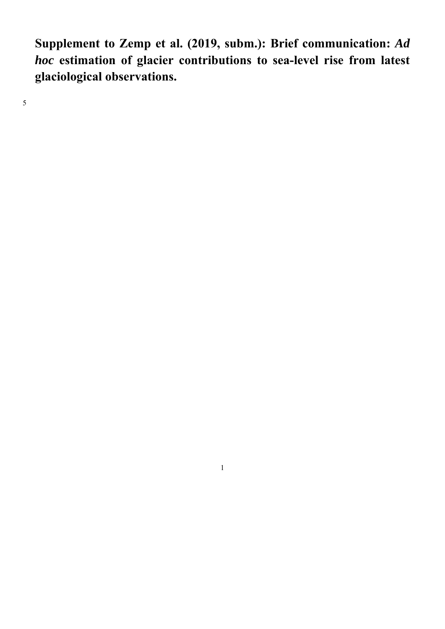**Supplement to Zemp et al. (2019, subm.): Brief communication:** *Ad hoc* **estimation of glacier contributions to sea-level rise from latest glaciological observations.** 

5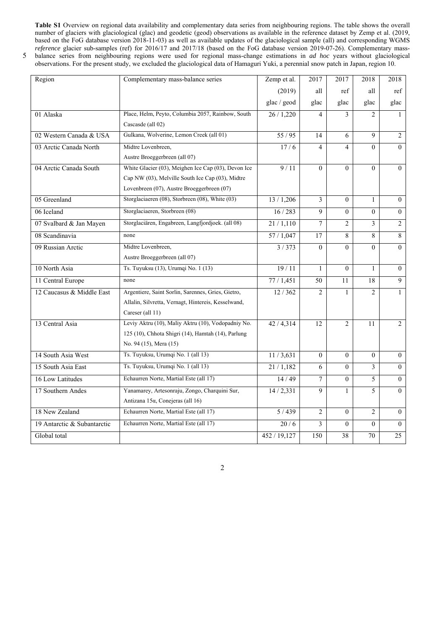**Table S1** Overview on regional data availability and complementary data series from neighbouring regions. The table shows the overall number of glaciers with glaciological (glac) and geodetic (geod) observations as available in the reference dataset by Zemp et al. (2019, based on the FoG database version 2018-11-03) as well as available updates of the glaciological sample (all) and corresponding WGMS *reference* glacier sub-samples (ref) for 2016/17 and 2017/18 (based on the FoG database version 2019-07-26). Complementary massations in *ad hoc* years without glaciological perennial snow patch in Japan, region 10.

|  |  | 5 balance series from neighbouring regions were used for regional mass-change estima        |  |  |  |  |
|--|--|---------------------------------------------------------------------------------------------|--|--|--|--|
|  |  | observations. For the present study, we excluded the glaciological data of Hamaguri Yuki, a |  |  |  |  |

| Region                      | Complementary mass-balance series                   | Zemp et al.  | 2017           | 2017            | 2018           | 2018            |
|-----------------------------|-----------------------------------------------------|--------------|----------------|-----------------|----------------|-----------------|
|                             |                                                     | (2019)       | all            | ref             | all            | ref             |
|                             |                                                     | glac / geod  | glac           | glac            | glac           | glac            |
| 01 Alaska                   | Place, Helm, Peyto, Columbia 2057, Rainbow, South   | 26 / 1,220   | $\overline{4}$ | 3               | $\overline{c}$ | $\mathbf{1}$    |
|                             | Cascasde (all 02)                                   |              |                |                 |                |                 |
| 02 Western Canada & USA     | Gulkana, Wolverine, Lemon Creek (all 01)            | 55/95        | 14             | 6               | 9              | $\overline{2}$  |
| 03 Arctic Canada North      | Midtre Lovenbreen,                                  | 17/6         | 4              | $\overline{4}$  | $\theta$       | $\Omega$        |
|                             | Austre Broeggerbreen (all 07)                       |              |                |                 |                |                 |
| 04 Arctic Canada South      | White Glacier (03), Meighen Ice Cap (03), Devon Ice | 9/11         | $\Omega$       | $\Omega$        | $\theta$       | $\theta$        |
|                             | Cap NW (03), Melville South Ice Cap (03), Midtre    |              |                |                 |                |                 |
|                             | Lovenbreen (07), Austre Broeggerbreen (07)          |              |                |                 |                |                 |
| 05 Greenland                | Storglaciaeren (08), Storbreen (08), White (03)     | 13/1,206     | 3              | $\overline{0}$  | $\mathbf{1}$   | $\overline{0}$  |
| 06 Iceland                  | Storglaciaeren, Storbreen (08)                      | 16 / 283     | 9              | $\theta$        | $\theta$       | $\mathbf{0}$    |
| 07 Svalbard & Jan Mayen     | Storglaciären, Engabreen, Langfjordjoek. (all 08)   | 21/1,110     | $\tau$         | $\overline{2}$  | 3              | $\overline{2}$  |
| 08 Scandinavia              | none                                                | 57/1,047     | 17             | 8               | 8              | 8               |
| 09 Russian Arctic           | Midtre Lovenbreen,                                  | 3/373        | $\Omega$       | $\Omega$        | $\theta$       | $\theta$        |
|                             | Austre Broeggerbreen (all 07)                       |              |                |                 |                |                 |
| 10 North Asia               | Ts. Tuyuksu (13), Urumqi No. 1 (13)                 | 19/11        | $\mathbf{1}$   | $\Omega$        | $\mathbf{1}$   | $\overline{0}$  |
| 11 Central Europe           | none                                                | 77/1,451     | 50             | 11              | 18             | $\overline{9}$  |
| 12 Caucasus & Middle East   | Argentiere, Saint Sorlin, Sarennes, Gries, Gietro,  | 12/362       | $\overline{2}$ | $\mathbf{1}$    | $\overline{c}$ | $\mathbf{1}$    |
|                             | Allalin, Silvretta, Vernagt, Hintereis, Kesselwand, |              |                |                 |                |                 |
|                             | Careser (all 11)                                    |              |                |                 |                |                 |
| 13 Central Asia             | Leviy Aktru (10), Maliy Aktru (10), Vodopadniy No.  | 42/4,314     | 12             | $\overline{2}$  | 11             | $\overline{2}$  |
|                             | 125 (10), Chhota Shigri (14), Hamtah (14), Parlung  |              |                |                 |                |                 |
|                             | No. 94 (15), Mera (15)                              |              |                |                 |                |                 |
| 14 South Asia West          | Ts. Tuyuksu, Urumqi No. 1 (all 13)                  | 11/3,631     | $\theta$       | $\overline{0}$  | $\overline{0}$ | $\overline{0}$  |
| 15 South Asia East          | Ts. Tuyuksu, Urumqi No. 1 (all 13)                  | 21/1,182     | 6              | $\overline{0}$  | $\overline{3}$ | $\overline{0}$  |
| 16 Low Latitudes            | Echaurren Norte, Martial Este (all 17)              | 14/49        | 7              | $\overline{0}$  | 5              | $\overline{0}$  |
| 17 Southern Andes           | Yanamarey, Artesonraju, Zongo, Charquini Sur,       | 14/2,331     | 9              | $\mathbf{1}$    | 5              | $\theta$        |
|                             | Antizana 15α, Conejeras (all 16)                    |              |                |                 |                |                 |
| 18 New Zealand              | Echaurren Norte, Martial Este (all 17)              | 5/439        | $\overline{2}$ | $\theta$        | $\overline{2}$ | $\theta$        |
| 19 Antarctic & Subantarctic | Echaurren Norte, Martial Este (all 17)              | 20/6         | 3              | $\Omega$        | $\theta$       | $\theta$        |
| Global total                |                                                     | 452 / 19,127 | 150            | $\overline{38}$ | 70             | $\overline{25}$ |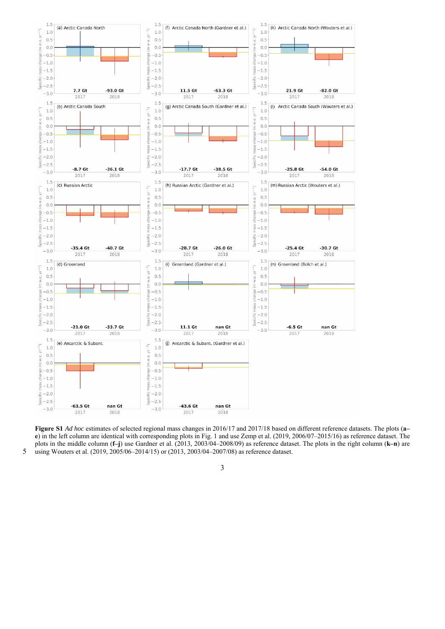

**Figure S1** *Ad hoc* estimates of selected regional mass changes in 2016/17 and 2017/18 based on different reference datasets. The plots (**a– e**) in the left column are identical with corresponding plots in Fig. 1 and use Zemp et al. (2019, 2006/07–2015/16) as reference dataset. The plots in the middle column (**f–j**) use Gardner et al. (2013, 2003/04–2008/09) as reference dataset. The plots in the right column (**k–n**) are 5 using Wouters et al. (2019, 2005/06–2014/15) or (2013, 2003/04–2007/08) as reference dataset.